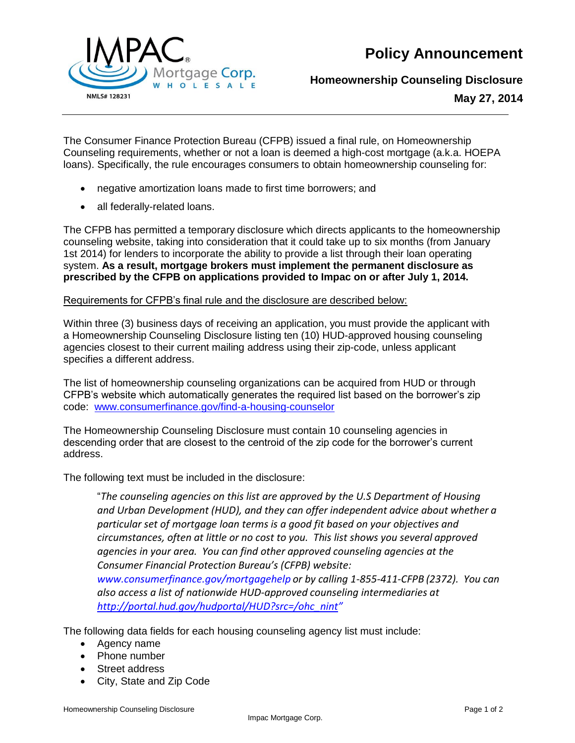**Policy Announcement**



**Homeownership Counseling Disclosure**

**May 27, 2014**

The Consumer Finance Protection Bureau (CFPB) issued a final rule, on Homeownership Counseling requirements, whether or not a loan is deemed a high-cost mortgage (a.k.a. HOEPA loans). Specifically, the rule encourages consumers to obtain homeownership counseling for:

- negative amortization loans made to first time borrowers; and
- all federally-related loans.

The CFPB has permitted a temporary disclosure which directs applicants to the homeownership counseling website, taking into consideration that it could take up to six months (from January 1st 2014) for lenders to incorporate the ability to provide a list through their loan operating system. **As a result, mortgage brokers must implement the permanent disclosure as prescribed by the CFPB on applications provided to Impac on or after July 1, 2014.** 

## Requirements for CFPB's final rule and the disclosure are described below:

Within three (3) business days of receiving an application, you must provide the applicant with a Homeownership Counseling Disclosure listing ten (10) HUD-approved housing counseling agencies closest to their current mailing address using their zip-code, unless applicant specifies a different address.

The list of homeownership counseling organizations can be acquired from HUD or through CFPB's website which automatically generates the required list based on the borrower's zip code: [www.consumerfinance.gov/find-a-housing-counselor](http://www.consumerfinance.gov/find-a-housing-counselor)

The Homeownership Counseling Disclosure must contain 10 counseling agencies in descending order that are closest to the centroid of the zip code for the borrower's current address.

The following text must be included in the disclosure:

"*The counseling agencies on this list are approved by the U.S Department of Housing and Urban Development (HUD), and they can offer independent advice about whether a particular set of mortgage loan terms is a good fit based on your objectives and circumstances, often at little or no cost to you. This list shows you several approved agencies in your area. You can find other approved counseling agencies at the Consumer Financial Protection Bureau's (CFPB) website: [www.consumerfinance.gov/mortgagehelp](http://www.consumerfinance.gov/mortgagehelp) or by calling 1-855-411-CFPB (2372). You can also access a list of nationwide HUD-approved counseling intermediaries at [http://portal.hud.gov/hudportal/HUD?src=/ohc\\_nint](http://portal.hud.gov/hudportal/HUD?src=/ohc_nint)"*

The following data fields for each housing counseling agency list must include:

- Agency name
- Phone number
- Street address
- City, State and Zip Code